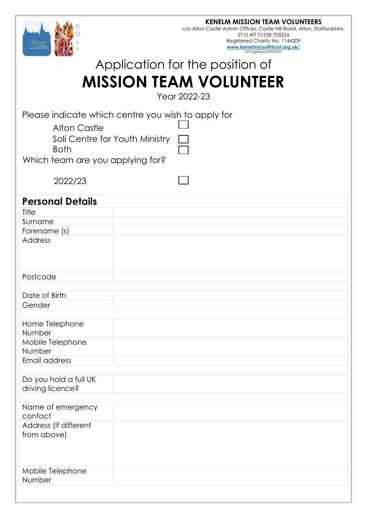

Registered Charity No. 1144209 **[www.kenelmyouthtrust.org.uk/](http://www.kenelmyouthtrust.org.uk/)** VAT registered 899372551

# Application for the position of **MISSION TEAM VOLUNTEER**

Year 2022-23

Please indicate which centre you wish to apply for

Alton Castle

| Soli Centre for Youth Ministry |  |
|--------------------------------|--|
| <b>Both</b>                    |  |

Which team are you applying for?

2022/23

| <b>Personal Details</b>      |  |
|------------------------------|--|
| Title                        |  |
|                              |  |
| Surname                      |  |
| Forename (s)                 |  |
| <b>Address</b>               |  |
|                              |  |
| Postcode                     |  |
|                              |  |
| Date of Birth                |  |
| Gender                       |  |
|                              |  |
| Home Telephone               |  |
| Number                       |  |
| Mobile Telephone             |  |
| Number                       |  |
| Email address                |  |
|                              |  |
| Do you hold a full UK        |  |
| driving licence?             |  |
|                              |  |
| Name of emergency<br>contact |  |
| Address (if different        |  |
| from above)                  |  |
|                              |  |
|                              |  |
|                              |  |
| Mobile Telephone             |  |
| Number                       |  |
|                              |  |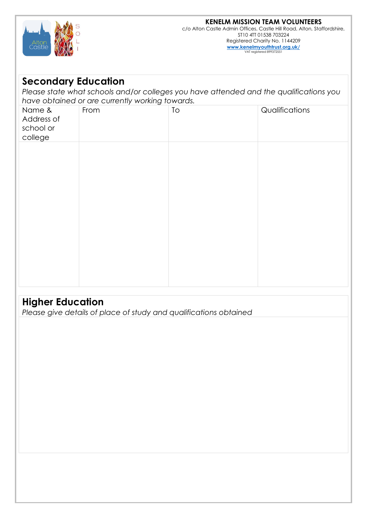

c/o Alton Castle Admin Offices, Castle Hill Road, Alton, Staffordshire, ST10 4TT 01538 703224 Registered Charity No. 1144209 **[www.kenelmyouthtrust.org.uk/](http://www.kenelmyouthtrust.org.uk/)** VAT registered 899372551

### **Secondary Education**

*Please state what schools and/or colleges you have attended and the qualifications you have obtained or are currently working towards.*

| Name &<br>Address of<br>school or<br>college | From | ${\tt To}$ | Qualifications |
|----------------------------------------------|------|------------|----------------|
|                                              |      |            |                |
|                                              |      |            |                |
|                                              |      |            |                |
|                                              |      |            |                |
|                                              |      |            |                |

### **Higher Education**

*Please give details of place of study and qualifications obtained*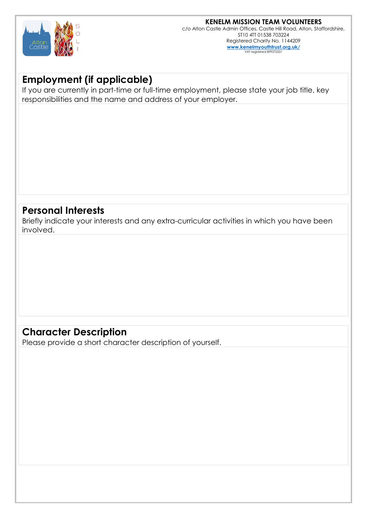

#### **KENELM MISSION TEAM VOLUNTEERS**

c/o Alton Castle Admin Offices, Castle Hill Road, Alton, Staffordshire, ST10 4TT 01538 703224 Registered Charity No. 1144209 **[www.kenelmyouthtrust.org.uk/](http://www.kenelmyouthtrust.org.uk/)** VAT registered 899372

### **Employment (if applicable)**

If you are currently in part-time or full-time employment, please state your job title, key responsibilities and the name and address of your employer.

#### **Personal Interests**

Briefly indicate your interests and any extra-curricular activities in which you have been involved.

### **Character Description**

Please provide a short character description of yourself.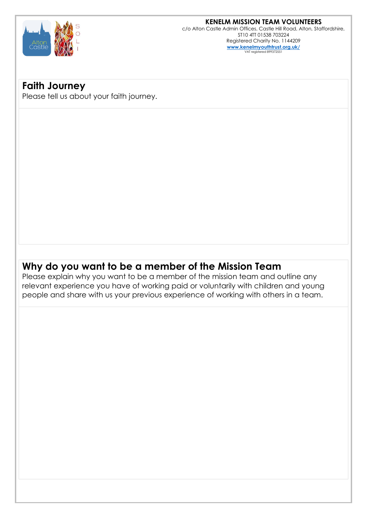

**KENELM MISSION TEAM VOLUNTEERS** c/o Alton Castle Admin Offices, Castle Hill Road, Alton, Staffordshire, ST10 4TT 01538 703224

> Registered Charity No. 1144209 **[www.kenelmyouthtrust.org.uk/](http://www.kenelmyouthtrust.org.uk/)** VAT registered 8993725

### **Faith Journey**

Please tell us about your faith journey.

### **Why do you want to be a member of the Mission Team**

Please explain why you want to be a member of the mission team and outline any relevant experience you have of working paid or voluntarily with children and young people and share with us your previous experience of working with others in a team.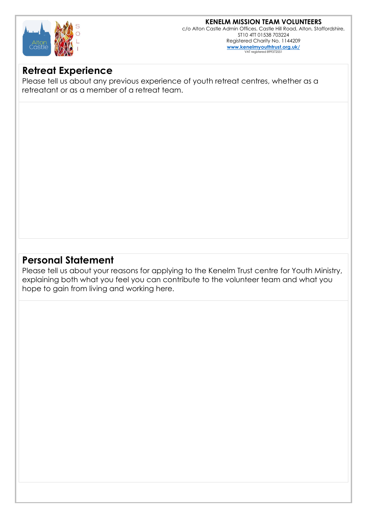## **KENELM MISSION TEAM VOLUNTEERS**



c/o Alton Castle Admin Offices, Castle Hill Road, Alton, Staffordshire, ST10 4TT 01538 703224 Registered Charity No. 1144209 **[www.kenelmyouthtrust.org.uk/](http://www.kenelmyouthtrust.org.uk/)** VAT registered 899372

### **Retreat Experience**

Please tell us about any previous experience of youth retreat centres, whether as a retreatant or as a member of a retreat team.

### **Personal Statement**

Please tell us about your reasons for applying to the Kenelm Trust centre for Youth Ministry, explaining both what you feel you can contribute to the volunteer team and what you hope to gain from living and working here.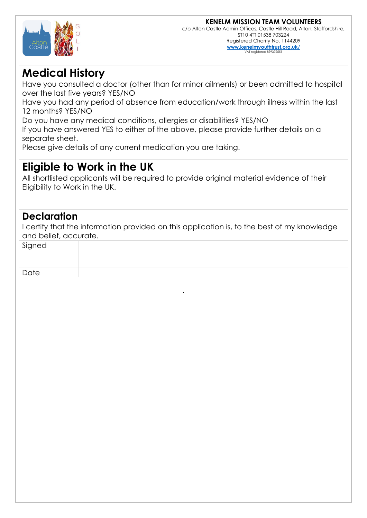

## **Medical History**

Have you consulted a doctor (other than for minor ailments) or been admitted to hospital over the last five years? YES/NO

Have you had any period of absence from education/work through illness within the last 12 months? YES/NO

Do you have any medical conditions, allergies or disabilities? YES/NO

If you have answered YES to either of the above, please provide further details on a separate sheet.

Please give details of any current medication you are taking.

## **Eligible to Work in the UK**

All shortlisted applicants will be required to provide original material evidence of their Eligibility to Work in the UK.

### **Declaration**

I certify that the information provided on this application is, to the best of my knowledge and belief, accurate.

| Signed |  |
|--------|--|
| Date   |  |

.